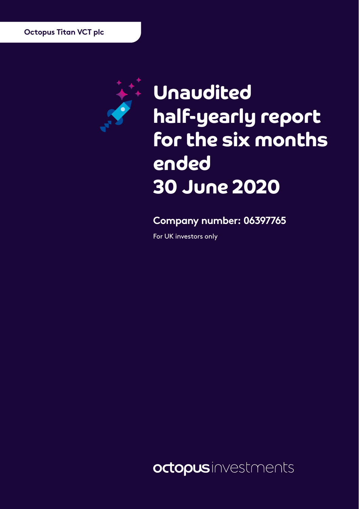

**Unaudited half-yearly report for the six months ended 30 June 2020**

**Company number: 06397765**

For UK investors only

octopusinvestments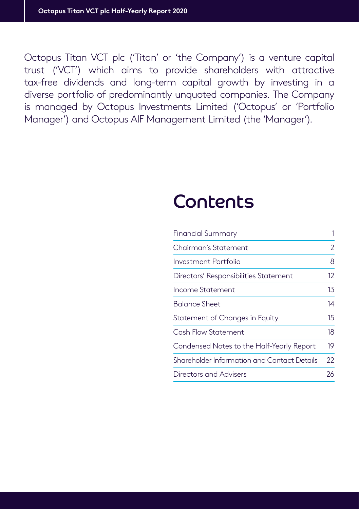Octopus Titan VCT plc ('Titan' or 'the Company') is a venture capital trust ('VCT') which aims to provide shareholders with attractive tax-free dividends and long-term capital growth by investing in a diverse portfolio of predominantly unquoted companies. The Company is managed by Octopus Investments Limited ('Octopus' or 'Portfolio Manager') and Octopus AIF Management Limited (the 'Manager').

# Contents

| <b>Financial Summary</b>                    |                  |
|---------------------------------------------|------------------|
| Chairman's Statement                        | 2                |
| Investment Portfolio                        | 8                |
| Directors' Responsibilities Statement       | 12               |
| Income Statement                            | 13               |
| Balance Sheet                               | 14               |
| Statement of Changes in Equity              | $15\overline{)}$ |
| Cash Flow Statement                         | 18               |
| Condensed Notes to the Half-Yearly Report   | 19               |
| Shareholder Information and Contact Details | 22               |
| Directors and Advisers                      | 26               |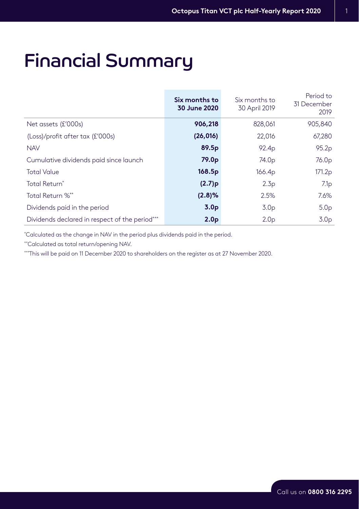# Financial Summary

|                                                | Six months to<br>30 June 2020 | Six months to<br>30 April 2019 | Period to<br>31 December<br>2019 |
|------------------------------------------------|-------------------------------|--------------------------------|----------------------------------|
| Net assets (£'000s)                            | 906,218                       | 828,061                        | 905,840                          |
| (Loss)/profit after tax (£'000s)               | (26, 016)                     | 22,016                         | 67,280                           |
| <b>NAV</b>                                     | 89.5 <sub>p</sub>             | 92.4 <sub>p</sub>              | 95.2p                            |
| Cumulative dividends paid since launch         | 79.0 <sub>p</sub>             | 74.0 <sub>p</sub>              | 76.0 <sub>p</sub>                |
| <b>Total Value</b>                             | 168.5p                        | 166.4 <sub>p</sub>             | 171.2p                           |
| Total Return <sup>*</sup>                      | $(2.7)$ p                     | 2.3 <sub>p</sub>               | 7.1 <sub>p</sub>                 |
| Total Return %**                               | (2.8)%                        | 2.5%                           | 7.6%                             |
| Dividends paid in the period                   | 3.0 <sub>p</sub>              | 3.0 <sub>p</sub>               | 5.0 <sub>p</sub>                 |
| Dividends declared in respect of the period*** | 2.0 <sub>p</sub>              | 2.0 <sub>p</sub>               | 3.0 <sub>p</sub>                 |

\* Calculated as the change in NAV in the period plus dividends paid in the period.

\*\*Calculated as total return/opening NAV.

\*\*\*This will be paid on 11 December 2020 to shareholders on the register as at 27 November 2020.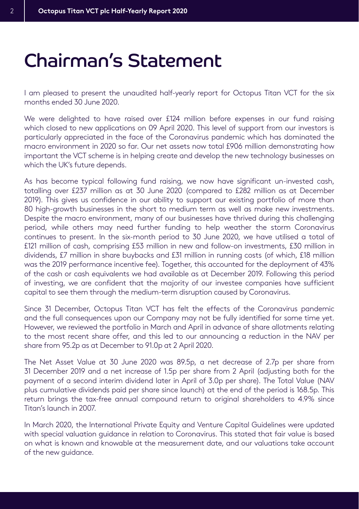# Chairman's Statement

I am pleased to present the unaudited half-yearly report for Octopus Titan VCT for the six months ended 30 June 2020.

We were delighted to have raised over £124 million before expenses in our fund raising which closed to new applications on 09 April 2020. This level of support from our investors is particularly appreciated in the face of the Coronavirus pandemic which has dominated the macro environment in 2020 so far. Our net assets now total £906 million demonstrating how important the VCT scheme is in helping create and develop the new technology businesses on which the UK's future depends.

As has become typical following fund raising, we now have significant un-invested cash, totalling over £237 million as at 30 June 2020 (compared to £282 million as at December 2019). This gives us confidence in our ability to support our existing portfolio of more than 80 high-growth businesses in the short to medium term as well as make new investments. Despite the macro environment, many of our businesses have thrived during this challenging period, while others may need further funding to help weather the storm Coronavirus continues to present. In the six-month period to 30 June 2020, we have utilised a total of £121 million of cash, comprising £53 million in new and follow-on investments, £30 million in dividends, £7 million in share buybacks and £31 million in running costs (of which, £18 million was the 2019 performance incentive fee). Together, this accounted for the deployment of 43% of the cash or cash equivalents we had available as at December 2019. Following this period of investing, we are confident that the majority of our investee companies have sufficient capital to see them through the medium-term disruption caused by Coronavirus.

Since 31 December, Octopus Titan VCT has felt the effects of the Coronavirus pandemic and the full consequences upon our Company may not be fully identified for some time yet. However, we reviewed the portfolio in March and April in advance of share allotments relating to the most recent share offer, and this led to our announcing a reduction in the NAV per share from 95.2p as at December to 91.0p at 2 April 2020.

The Net Asset Value at 30 June 2020 was 89.5p, a net decrease of 2.7p per share from 31 December 2019 and a net increase of 1.5p per share from 2 April (adjusting both for the payment of a second interim dividend later in April of 3.0p per share). The Total Value (NAV plus cumulative dividends paid per share since launch) at the end of the period is 168.5p. This return brings the tax-free annual compound return to original shareholders to 4.9% since Titan's launch in 2007.

In March 2020, the International Private Equity and Venture Capital Guidelines were updated with special valuation guidance in relation to Coronavirus. This stated that fair value is based on what is known and knowable at the measurement date, and our valuations take account of the new guidance.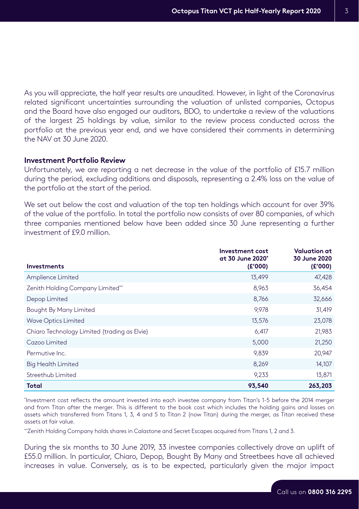As you will appreciate, the half year results are unaudited. However, in light of the Coronavirus related significant uncertainties surrounding the valuation of unlisted companies, Octopus and the Board have also engaged our auditors, BDO, to undertake a review of the valuations of the largest 25 holdings by value, similar to the review process conducted across the portfolio at the previous year end, and we have considered their comments in determining the NAV at 30 June 2020.

# **Investment Portfolio Review**

Unfortunately, we are reporting a net decrease in the value of the portfolio of £15.7 million during the period, excluding additions and disposals, representing a 2.4% loss on the value of the portfolio at the start of the period.

We set out below the cost and valuation of the top ten holdings which account for over 39% of the value of the portfolio. In total the portfolio now consists of over 80 companies, of which three companies mentioned below have been added since 30 June representing a further investment of £9.0 million.

|                                              | Investment cost<br>at 30 June 2020* | <b>Valuation at</b><br>30 June 2020 |
|----------------------------------------------|-------------------------------------|-------------------------------------|
| Investments                                  | (E'000)                             | (E'000)                             |
| Amplience Limited                            | 13,499                              | 47,428                              |
| Zenith Holding Company Limited**             | 8,963                               | 36,454                              |
| Depop Limited                                | 8,766                               | 32,666                              |
| Bought By Many Limited                       | 9.978                               | 31,419                              |
| <b>Wave Optics Limited</b>                   | 13,576                              | 23,078                              |
| Chiaro Technology Limited (trading as Elvie) | 6,417                               | 21,983                              |
| Cazoo Limited                                | 5,000                               | 21,250                              |
| Permutive Inc.                               | 9,839                               | 20,947                              |
| <b>Big Health Limited</b>                    | 8,269                               | 14,107                              |
| Streethub Limited                            | 9,233                               | 13,871                              |
| Total                                        | 93,540                              | 263,203                             |

\* Investment cost reflects the amount invested into each investee company from Titan's 1-5 before the 2014 merger and from Titan after the merger. This is different to the book cost which includes the holding gains and losses on assets which transferred from Titans 1, 3, 4 and 5 to Titan 2 (now Titan) during the merger, as Titan received these assets at fair value.

\*\*Zenith Holding Company holds shares in Calastone and Secret Escapes acquired from Titans 1, 2 and 3.

During the six months to 30 June 2019, 33 investee companies collectively drove an uplift of £55.0 million. In particular, Chiaro, Depop, Bought By Many and Streetbees have all achieved increases in value. Conversely, as is to be expected, particularly given the major impact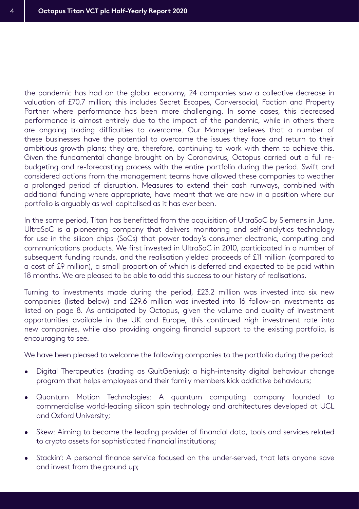the pandemic has had on the global economy, 24 companies saw a collective decrease in valuation of £70.7 million; this includes Secret Escapes, Conversocial, Faction and Property Partner where performance has been more challenging. In some cases, this decreased performance is almost entirely due to the impact of the pandemic, while in others there are ongoing trading difficulties to overcome. Our Manager believes that a number of these businesses have the potential to overcome the issues they face and return to their ambitious growth plans; they are, therefore, continuing to work with them to achieve this. Given the fundamental change brought on by Coronavirus, Octopus carried out a full rebudgeting and re-forecasting process with the entire portfolio during the period. Swift and considered actions from the management teams have allowed these companies to weather a prolonged period of disruption. Measures to extend their cash runways, combined with additional funding where appropriate, have meant that we are now in a position where our portfolio is arguably as well capitalised as it has ever been.

In the same period, Titan has benefitted from the acquisition of UltraSoC by Siemens in June. UltraSoC is a pioneering company that delivers monitoring and self-analytics technology for use in the silicon chips (SoCs) that power today's consumer electronic, computing and communications products. We first invested in UltraSoC in 2010, participated in a number of subsequent funding rounds, and the realisation yielded proceeds of £11 million (compared to a cost of £9 million), a small proportion of which is deferred and expected to be paid within 18 months. We are pleased to be able to add this success to our history of realisations.

Turning to investments made during the period, £23.2 million was invested into six new companies (listed below) and £29.6 million was invested into 16 follow-on investments as listed on page 8. As anticipated by Octopus, given the volume and quality of investment opportunities available in the UK and Europe, this continued high investment rate into new companies, while also providing ongoing financial support to the existing portfolio, is encouraging to see.

We have been pleased to welcome the following companies to the portfolio during the period:

- Digital Therapeutics (trading as QuitGenius): a high-intensity digital behaviour change program that helps employees and their family members kick addictive behaviours;
- Quantum Motion Technologies: A quantum computing company founded to commercialise world-leading silicon spin technology and architectures developed at UCL and Oxford University;
- Skew: Aiming to become the leading provider of financial data, tools and services related to crypto assets for sophisticated financial institutions;
- Stackin': A personal finance service focused on the under-served, that lets anyone save and invest from the ground up;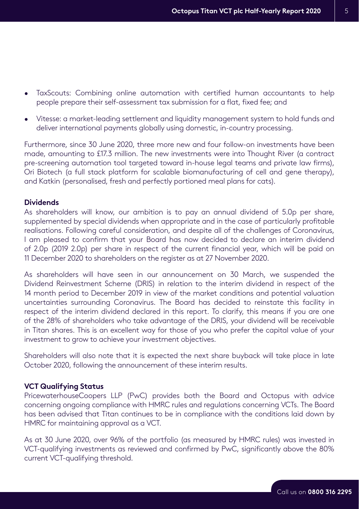- TaxScouts: Combining online automation with certified human accountants to help people prepare their self-assessment tax submission for a flat, fixed fee; and
- Vitesse: a market-leading settlement and liquidity management system to hold funds and deliver international payments globally using domestic, in-country processing.

Furthermore, since 30 June 2020, three more new and four follow-on investments have been made, amounting to £17.3 million. The new investments were into Thought River (a contract pre-screening automation tool targeted toward in-house legal teams and private law firms), Ori Biotech (a full stack platform for scalable biomanufacturing of cell and gene therapy), and Katkin (personalised, fresh and perfectly portioned meal plans for cats).

# **Dividends**

As shareholders will know, our ambition is to pay an annual dividend of 5.0p per share, supplemented by special dividends when appropriate and in the case of particularly profitable realisations. Following careful consideration, and despite all of the challenges of Coronavirus, I am pleased to confirm that your Board has now decided to declare an interim dividend of 2.0p (2019 2.0p) per share in respect of the current financial year, which will be paid on 11 December 2020 to shareholders on the register as at 27 November 2020.

As shareholders will have seen in our announcement on 30 March, we suspended the Dividend Reinvestment Scheme (DRIS) in relation to the interim dividend in respect of the 14 month period to December 2019 in view of the market conditions and potential valuation uncertainties surrounding Coronavirus. The Board has decided to reinstate this facility in respect of the interim dividend declared in this report. To clarify, this means if you are one of the 28% of shareholders who take advantage of the DRIS, your dividend will be receivable in Titan shares. This is an excellent way for those of you who prefer the capital value of your investment to grow to achieve your investment objectives.

Shareholders will also note that it is expected the next share buyback will take place in late October 2020, following the announcement of these interim results.

#### **VCT Qualifying Status**

PricewaterhouseCoopers LLP (PwC) provides both the Board and Octopus with advice concerning ongoing compliance with HMRC rules and regulations concerning VCTs. The Board has been advised that Titan continues to be in compliance with the conditions laid down by HMRC for maintaining approval as a VCT.

As at 30 June 2020, over 96% of the portfolio (as measured by HMRC rules) was invested in VCT-qualifying investments as reviewed and confirmed by PwC, significantly above the 80% current VCT-qualifying threshold.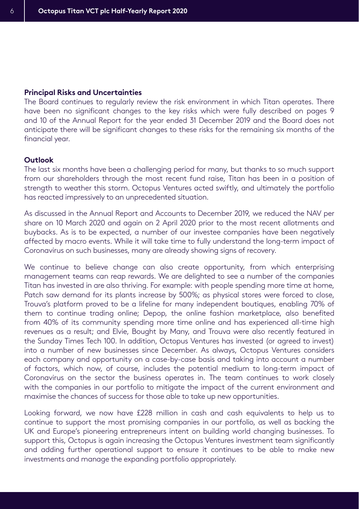## **Principal Risks and Uncertainties**

The Board continues to regularly review the risk environment in which Titan operates. There have been no significant changes to the key risks which were fully described on pages 9 and 10 of the Annual Report for the year ended 31 December 2019 and the Board does not anticipate there will be significant changes to these risks for the remaining six months of the financial year.

## **Outlook**

The last six months have been a challenging period for many, but thanks to so much support from our shareholders through the most recent fund raise, Titan has been in a position of strength to weather this storm. Octopus Ventures acted swiftly, and ultimately the portfolio has reacted impressively to an unprecedented situation.

As discussed in the Annual Report and Accounts to December 2019, we reduced the NAV per share on 10 March 2020 and again on 2 April 2020 prior to the most recent allotments and buybacks. As is to be expected, a number of our investee companies have been negatively affected by macro events. While it will take time to fully understand the long-term impact of Coronavirus on such businesses, many are already showing signs of recovery.

We continue to believe change can also create opportunity, from which enterprising management teams can reap rewards. We are delighted to see a number of the companies Titan has invested in are also thriving. For example: with people spending more time at home, Patch saw demand for its plants increase by 500%; as physical stores were forced to close, Trouva's platform proved to be a lifeline for many independent boutiques, enabling 70% of them to continue trading online; Depop, the online fashion marketplace, also benefited from 40% of its community spending more time online and has experienced all-time high revenues as a result; and Elvie, Bought by Many, and Trouva were also recently featured in the Sunday Times Tech 100. In addition, Octopus Ventures has invested (or agreed to invest) into a number of new businesses since December. As always, Octopus Ventures considers each company and opportunity on a case-by-case basis and taking into account a number of factors, which now, of course, includes the potential medium to long-term impact of Coronavirus on the sector the business operates in. The team continues to work closely with the companies in our portfolio to mitigate the impact of the current environment and maximise the chances of success for those able to take up new opportunities.

Looking forward, we now have £228 million in cash and cash equivalents to help us to continue to support the most promising companies in our portfolio, as well as backing the UK and Europe's pioneering entrepreneurs intent on building world changing businesses. To support this, Octopus is again increasing the Octopus Ventures investment team significantly and adding further operational support to ensure it continues to be able to make new investments and manage the expanding portfolio appropriately.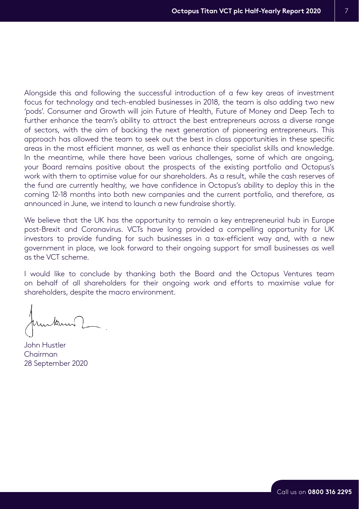Alongside this and following the successful introduction of a few key areas of investment focus for technology and tech-enabled businesses in 2018, the team is also adding two new 'pods'. Consumer and Growth will join Future of Health, Future of Money and Deep Tech to further enhance the team's ability to attract the best entrepreneurs across a diverse range of sectors, with the aim of backing the next generation of pioneering entrepreneurs. This approach has allowed the team to seek out the best in class opportunities in these specific areas in the most efficient manner, as well as enhance their specialist skills and knowledge. In the meantime, while there have been various challenges, some of which are ongoing, your Board remains positive about the prospects of the existing portfolio and Octopus's work with them to optimise value for our shareholders. As a result, while the cash reserves of the fund are currently healthy, we have confidence in Octopus's ability to deploy this in the coming 12-18 months into both new companies and the current portfolio, and therefore, as announced in June, we intend to launch a new fundraise shortly.

We believe that the UK has the opportunity to remain a key entrepreneurial hub in Europe post-Brexit and Coronavirus. VCTs have long provided a compelling opportunity for UK investors to provide funding for such businesses in a tax-efficient way and, with a new government in place, we look forward to their ongoing support for small businesses as well as the VCT scheme.

I would like to conclude by thanking both the Board and the Octopus Ventures team on behalf of all shareholders for their ongoing work and efforts to maximise value for shareholders, despite the macro environment.

John Hustler Chairman 28 September 2020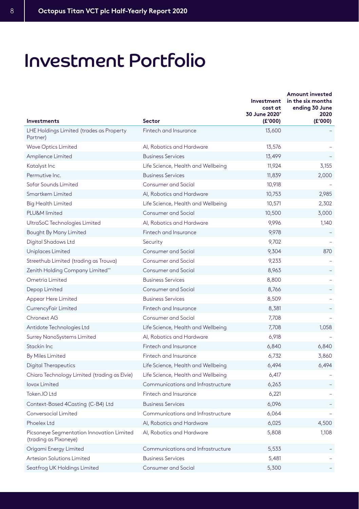# Investment Portfolio

| <b>Investments</b>                                                 | <b>Sector</b>                      | cost at<br>30 June 2020*<br>(E'000) | <b>Amount invested</b><br>Investment in the six months<br>ending 30 June<br>2020<br>(£'000) |
|--------------------------------------------------------------------|------------------------------------|-------------------------------------|---------------------------------------------------------------------------------------------|
| LHE Holdings Limited (trades as Property<br>Partner)               | Fintech and Insurance              | 13,600                              |                                                                                             |
| <b>Wave Optics Limited</b>                                         | Al, Robotics and Hardware          | 13,576                              |                                                                                             |
| Amplience Limited                                                  | <b>Business Services</b>           | 13,499                              |                                                                                             |
| Katalyst Inc                                                       | Life Science, Health and Wellbeing | 11,924                              | 3,155                                                                                       |
| Permutive Inc.                                                     | <b>Business Services</b>           | 11,839                              | 2,000                                                                                       |
| Sofar Sounds Limited                                               | Consumer and Social                | 10,918                              |                                                                                             |
| Smartkem Limited                                                   | Al, Robotics and Hardware          | 10,753                              | 2,985                                                                                       |
| Big Health Limited                                                 | Life Science, Health and Wellbeing | 10,571                              | 2.302                                                                                       |
| PI U&M limited                                                     | <b>Consumer and Social</b>         | 10,500                              | 3,000                                                                                       |
| UltraSoC Technologies Limited                                      | Al, Robotics and Hardware          | 9,996                               | 1,140                                                                                       |
| Bought By Many Limited                                             | Fintech and Insurance              | 9,978                               |                                                                                             |
| Digital Shadows Ltd                                                | Security                           | 9,702                               |                                                                                             |
| Uniplaces Limited                                                  | Consumer and Social                | 9,304                               | 870                                                                                         |
| Streethub Limited (trading as Trouva)                              | Consumer and Social                | 9,233                               |                                                                                             |
| Zenith Holding Company Limited**                                   | Consumer and Social                | 8,963                               |                                                                                             |
| Ometria Limited                                                    | <b>Business Services</b>           | 8,800                               |                                                                                             |
| Depop Limited                                                      | <b>Consumer and Social</b>         | 8,766                               |                                                                                             |
| Appear Here Limited                                                | <b>Business Services</b>           | 8,509                               |                                                                                             |
| CurrencyFair Limited                                               | Fintech and Insurance              | 8,381                               |                                                                                             |
| Chronext AG                                                        | Consumer and Social                | 7,708                               |                                                                                             |
| Antidote Technologies Ltd                                          | Life Science, Health and Wellbeing | 7,708                               | 1,058                                                                                       |
| Surrey NanoSystems Limited                                         | Al, Robotics and Hardware          | 6,918                               |                                                                                             |
| Stackin Inc                                                        | Fintech and Insurance              | 6,840                               | 6,840                                                                                       |
| By Miles Limited                                                   | Fintech and Insurance              | 6,732                               | 3,860                                                                                       |
| Digital Therapeutics                                               | Life Science, Health and Wellbeing | 6,494                               | 6,494                                                                                       |
| Chiaro Technology Limited (trading as Elvie)                       | Life Science, Health and Wellbeing | 6,417                               |                                                                                             |
| lovox Limited                                                      | Communications and Infrastructure  | 6,263                               |                                                                                             |
| Token.IO Ltd                                                       | Fintech and Insurance              | 6,221                               |                                                                                             |
| Context-Based 4Casting (C-B4) Ltd                                  | <b>Business Services</b>           | 6,096                               |                                                                                             |
| Conversocial Limited                                               | Communications and Infrastructure  | 6,064                               |                                                                                             |
| Phoelex Ltd                                                        | Al, Robotics and Hardware          | 6,025                               | 4,500                                                                                       |
| Picsoneye Segmentation Innovation Limited<br>(trading as Pixoneye) | Al, Robotics and Hardware          | 5,808                               | 1,108                                                                                       |
| Origami Energy Limited                                             | Communications and Infrastructure  | 5,533                               |                                                                                             |
| Artesian Solutions Limited                                         | <b>Business Services</b>           | 5,481                               |                                                                                             |
| Seatfrog UK Holdings Limited                                       | Consumer and Social                | 5,300                               |                                                                                             |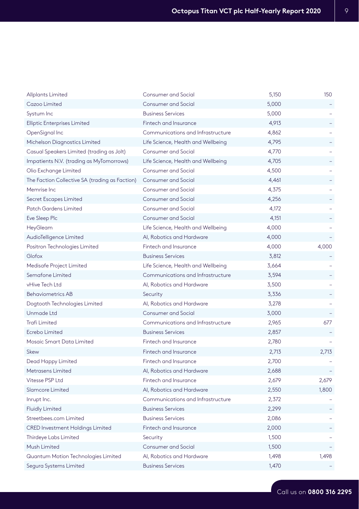| Allplants Limited                              | Consumer and Social                | 5,150 | 150   |
|------------------------------------------------|------------------------------------|-------|-------|
| Cazoo Limited                                  | Consumer and Social                | 5,000 |       |
| Systum Inc                                     | <b>Business Services</b>           | 5,000 |       |
| Elliptic Enterprises Limited                   | Fintech and Insurance              | 4,913 |       |
| OpenSignal Inc                                 | Communications and Infrastructure  | 4,862 |       |
| Michelson Diagnostics Limited                  | Life Science, Health and Wellbeing | 4,795 |       |
| Casual Speakers Limited (trading as Jolt)      | Consumer and Social                | 4,770 |       |
| Impatients N.V. (trading as MyTomorrows)       | Life Science, Health and Wellbeing | 4,705 |       |
| Olio Exchange Limited                          | Consumer and Social                | 4,500 |       |
| The Faction Collective SA (trading as Faction) | <b>Consumer and Social</b>         | 4,461 |       |
| Memrise Inc                                    | Consumer and Social                | 4,375 |       |
| Secret Escapes Limited                         | Consumer and Social                | 4,256 |       |
| Patch Gardens Limited                          | Consumer and Social                | 4,172 |       |
| Eve Sleep Plc                                  | <b>Consumer and Social</b>         | 4,151 |       |
| HeyGleam                                       | Life Science, Health and Wellbeing | 4,000 |       |
| AudioTelligence Limited                        | Al, Robotics and Hardware          | 4,000 |       |
| Positron Technologies Limited                  | Fintech and Insurance              | 4,000 | 4,000 |
| Glofox                                         | <b>Business Services</b>           | 3,812 |       |
| Medisafe Project Limited                       | Life Science, Health and Wellbeing | 3,664 |       |
| Semafone Limited                               | Communications and Infrastructure  | 3,594 |       |
| vHive Tech I td                                | Al, Robotics and Hardware          | 3,500 |       |
| <b>Behaviometrics AB</b>                       | Security                           | 3,336 |       |
| Dogtooth Technologies Limited                  | Al, Robotics and Hardware          | 3,278 |       |
| Unmade Ltd                                     | <b>Consumer and Social</b>         | 3,000 |       |
| Trafi Limited                                  | Communications and Infrastructure  | 2,965 | 677   |
| Ecrebo Limited                                 | <b>Business Services</b>           | 2,857 |       |
| Mosaic Smart Data Limited                      | Fintech and Insurance              | 2,780 |       |
| Skew                                           | Fintech and Insurance              | 2,713 | 2,713 |
| Dead Happy Limited                             | Fintech and Insurance              | 2,700 |       |
| Metrasens Limited                              | Al, Robotics and Hardware          | 2,688 |       |
| Vitesse PSP Ltd                                | Fintech and Insurance              | 2,679 | 2,679 |
| Slamcore Limited                               | Al. Robotics and Hardware          | 2,550 | 1,800 |
| Inrupt Inc.                                    | Communications and Infrastructure  | 2,372 |       |
| <b>Fluidly Limited</b>                         | <b>Business Services</b>           | 2,299 |       |
| Streetbees.com Limited                         | <b>Business Services</b>           | 2,086 |       |
| CRED Investment Holdings Limited               | Fintech and Insurance              | 2,000 |       |
| Thirdeye Labs Limited                          | Security                           | 1,500 |       |
| Mush Limited                                   | Consumer and Social                | 1,500 |       |
| Quantum Motion Technologies Limited            | AI, Robotics and Hardware          | 1,498 | 1,498 |
| Segura Systems Limited                         | <b>Business Services</b>           | 1,470 |       |
|                                                |                                    |       |       |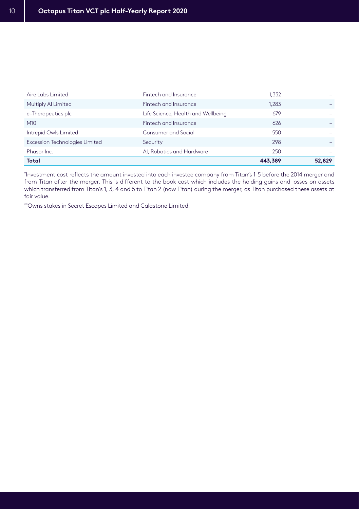| Total                          |                                    | 443,389 | 52,829 |
|--------------------------------|------------------------------------|---------|--------|
| Phasor Inc.                    | Al, Robotics and Hardware          | 250     |        |
| Excession Technologies Limited | Security                           | 298     |        |
| Intrepid Owls Limited          | Consumer and Social                | 550     |        |
| M10                            | Fintech and Insurance              | 626     |        |
| e-Therapeutics plc             | Life Science, Health and Wellbeing | 679     |        |
| Multiply Al Limited            | Fintech and Insurance              | 1,283   |        |
| Aire Labs Limited              | Fintech and Insurance              | 1,332   |        |

\* Investment cost reflects the amount invested into each investee company from Titan's 1-5 before the 2014 merger and from Titan after the merger. This is different to the book cost which includes the holding gains and losses on assets which transferred from Titan's 1, 3, 4 and 5 to Titan 2 (now Titan) during the merger, as Titan purchased these assets at fair value.

\*\*Owns stakes in Secret Escapes Limited and Calastone Limited.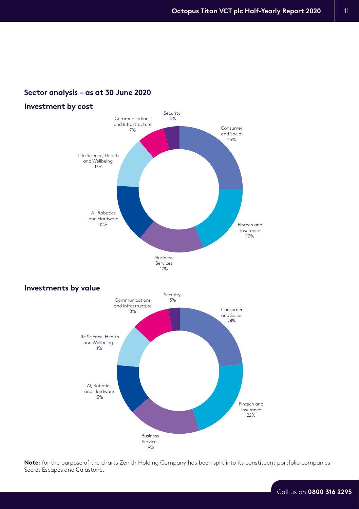# **Sector analysis – as at 30 June 2020**



# **Investments by value**



**Note:** for the purpose of the charts Zenith Holding Company has been split into its constituent portfolio companies – Secret Escapes and Calastone.

Call us on **0800 316 2295**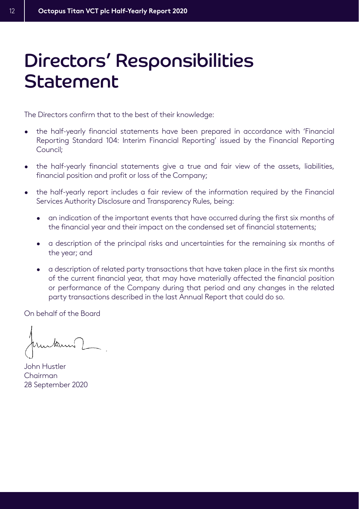# Directors' Responsibilities Statement

The Directors confirm that to the best of their knowledge:

- the half-yearly financial statements have been prepared in accordance with 'Financial Reporting Standard 104: Interim Financial Reporting' issued by the Financial Reporting Council;
- the half-yearly financial statements give a true and fair view of the assets, liabilities, financial position and profit or loss of the Company;
- the half-yearly report includes a fair review of the information required by the Financial Services Authority Disclosure and Transparency Rules, being:
	- an indication of the important events that have occurred during the first six months of the financial year and their impact on the condensed set of financial statements;
	- a description of the principal risks and uncertainties for the remaining six months of the year; and
	- a description of related party transactions that have taken place in the first six months of the current financial year, that may have materially affected the financial position or performance of the Company during that period and any changes in the related party transactions described in the last Annual Report that could do so.

On behalf of the Board

John Hustler Chairman 28 September 2020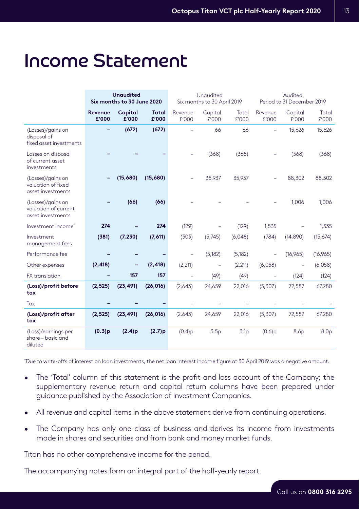# Income Statement

|                                                                | <b>Unaudited</b><br>Six months to 30 June 2020 |                  | Unaudited<br>Six months to 30 April 2019 |                  |                  | Audited<br>Period to 31 December 2019 |                  |                   |                  |
|----------------------------------------------------------------|------------------------------------------------|------------------|------------------------------------------|------------------|------------------|---------------------------------------|------------------|-------------------|------------------|
|                                                                | <b>Revenue</b><br>£'000                        | Capital<br>£'000 | <b>Total</b><br>£'000                    | Revenue<br>£'000 | Capital<br>£'000 | Total<br>£'000                        | Revenue<br>£'000 | Capital<br>£'000  | Total<br>£'000   |
| (Losses)/gains on<br>disposal of<br>fixed asset investments    |                                                | (672)            | (672)                                    |                  | 66               | 66                                    | $\equiv$         | 15,626            | 15,626           |
| Losses on disposal<br>of current asset<br>investments          |                                                |                  |                                          |                  | (368)            | (368)                                 |                  | (368)             | (368)            |
| (Losses)/gains on<br>valuation of fixed<br>asset investments   |                                                | (15,680)         | (15,680)                                 |                  | 35,937           | 35,937                                |                  | 88,302            | 88,302           |
| (Losses)/gains on<br>valuation of current<br>asset investments |                                                | (66)             | (66)                                     |                  |                  |                                       |                  | 1,006             | 1,006            |
| Investment income <sup>*</sup>                                 | 274                                            |                  | 274                                      | (129)            |                  | (129)                                 | 1,535            |                   | 1,535            |
| Investment<br>management fees                                  | (381)                                          | (7, 230)         | (7,611)                                  | (303)            | (5,745)          | (6,048)                               | (784)            | (14, 890)         | (15,674)         |
| Performance fee                                                |                                                |                  |                                          |                  | (5, 182)         | (5, 182)                              | $\equiv$         | (16,965)          | (16,965)         |
| Other expenses                                                 | (2, 418)                                       | -                | (2, 418)                                 | (2, 211)         | -                | (2, 211)                              | (6,058)          | $\qquad \qquad -$ | (6,058)          |
| <b>FX</b> translation                                          |                                                | 157              | 157                                      | ÷                | (49)             | (49)                                  | $\equiv$         | (124)             | (124)            |
| (Loss)/profit before<br>tax                                    | (2, 525)                                       | (23, 491)        | (26, 016)                                | (2,643)          | 24,659           | 22,016                                | (5,307)          | 72,587            | 67,280           |
| Tax                                                            |                                                |                  |                                          |                  |                  |                                       |                  |                   |                  |
| (Loss)/profit after<br>tax                                     | (2, 525)                                       | (23, 491)        | (26, 016)                                | (2,643)          | 24,659           | 22,016                                | (5,307)          | 72,587            | 67,280           |
| (Loss)/earnings per<br>share - basic and<br>diluted            | $(0.3)$ p                                      | $(2.4)$ p        | $(2.7)$ p                                | $(0.4)$ p        | 3.5 <sub>p</sub> | 3.1 <sub>p</sub>                      | $(0.6)$ p        | 8.6 <sub>p</sub>  | 8.0 <sub>p</sub> |

\* Due to write-offs of interest on loan investments, the net loan interest income figure at 30 April 2019 was a negative amount.

- The 'Total' column of this statement is the profit and loss account of the Company; the supplementary revenue return and capital return columns have been prepared under guidance published by the Association of Investment Companies.
- All revenue and capital items in the above statement derive from continuing operations.
- The Company has only one class of business and derives its income from investments made in shares and securities and from bank and money market funds.

Titan has no other comprehensive income for the period.

The accompanying notes form an integral part of the half-yearly report.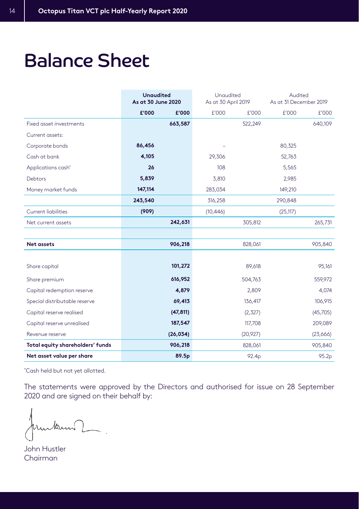# Balance Sheet

|                                  | <b>Unaudited</b><br>As at 30 June 2020 |           | Unaudited<br>As at 30 April 2019 |                   | Audited<br>As at 31 December 2019 |           |
|----------------------------------|----------------------------------------|-----------|----------------------------------|-------------------|-----------------------------------|-----------|
|                                  | £'000                                  | £'000     | £'000                            | £'000             | £'000                             | £'000     |
| Fixed asset investments          |                                        | 663,587   |                                  | 522,249           |                                   | 640,109   |
| Current assets:                  |                                        |           |                                  |                   |                                   |           |
| Corporate bonds                  | 86,456                                 |           |                                  |                   | 80,325                            |           |
| Cash at bank                     | 4,105                                  |           | 29,306                           |                   | 52,763                            |           |
| Applications cash*               | 26                                     |           | 108                              |                   | 5,565                             |           |
| Debtors                          | 5,839                                  |           | 3,810                            |                   | 2,985                             |           |
| Money market funds               | 147,114                                |           | 283,034                          |                   | 149,210                           |           |
|                                  | 243,540                                |           | 316,258                          |                   | 290,848                           |           |
| Current liabilities              | (909)                                  |           | (10, 446)                        |                   | (25, 117)                         |           |
| Net current assets               |                                        | 242,631   |                                  | 305,812           |                                   | 265,731   |
|                                  |                                        |           |                                  |                   |                                   |           |
| <b>Net assets</b>                |                                        | 906,218   |                                  | 828,061           |                                   | 905,840   |
|                                  |                                        |           |                                  |                   |                                   |           |
| Share capital                    |                                        | 101,272   |                                  | 89,618            |                                   | 95,161    |
| Share premium                    |                                        | 616,952   |                                  | 504,763           |                                   | 559,972   |
| Capital redemption reserve       |                                        | 4,879     |                                  | 2,809             |                                   | 4,074     |
| Special distributable reserve    |                                        | 69,413    |                                  | 136,417           |                                   | 106,915   |
| Capital reserve realised         |                                        | (47, 811) |                                  | (2, 327)          |                                   | (45, 705) |
| Capital reserve unrealised       |                                        | 187,547   |                                  | 117,708           |                                   | 209,089   |
| Revenue reserve                  |                                        | (26, 034) |                                  | (20,927)          |                                   | (23,666)  |
| Total equity shareholders' funds |                                        | 906,218   |                                  | 828,061           |                                   | 905,840   |
| Net asset value per share        |                                        | 89.5p     |                                  | 92.4 <sub>p</sub> |                                   | 95.2p     |

\* Cash held but not yet allotted.

The statements were approved by the Directors and authorised for issue on 28 September 2020 and are signed on their behalf by:

fruitenus -

John Hustler Chairman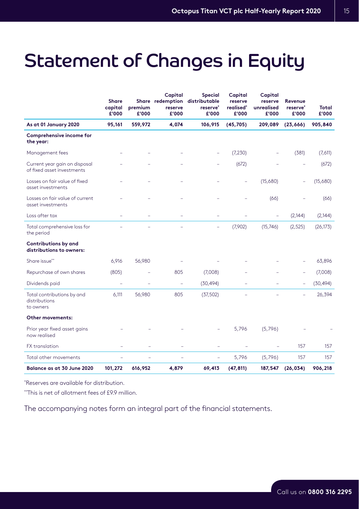# Statement of Changes in Equity

|                                                             | <b>Share</b><br>capital<br>£'000 | premium<br>£'000 | Capital<br>reserve<br>£'000 | Special<br>Share redemption distributable<br>reserve <sup>*</sup><br>£'000 | Capital<br>reserve<br>realised*<br>£'000 | Capital<br>reserve<br>unrealised<br>£'000 | Revenue<br>reserve <sup>*</sup><br>£'000 | Total<br>£'000 |
|-------------------------------------------------------------|----------------------------------|------------------|-----------------------------|----------------------------------------------------------------------------|------------------------------------------|-------------------------------------------|------------------------------------------|----------------|
| As at 01 January 2020                                       | 95,161                           | 559,972          | 4,074                       | 106,915                                                                    | (45, 705)                                | 209,089                                   | (23, 666)                                | 905,840        |
| Comprehensive income for<br>the year:                       |                                  |                  |                             |                                                                            |                                          |                                           |                                          |                |
| Management fees                                             |                                  |                  |                             |                                                                            | (7,230)                                  |                                           | (381)                                    | (7,611)        |
| Current year gain on disposal<br>of fixed asset investments |                                  |                  |                             |                                                                            | (672)                                    |                                           |                                          | (672)          |
| Losses on fair value of fixed<br>asset investments          |                                  |                  |                             |                                                                            |                                          | (15,680)                                  |                                          | (15,680)       |
| Losses on fair value of current<br>asset investments        |                                  |                  |                             |                                                                            |                                          | (66)                                      |                                          | (66)           |
| Loss after tax                                              | ÷                                |                  |                             |                                                                            |                                          |                                           | (2,144)                                  | (2, 144)       |
| Total comprehensive loss for<br>the period                  |                                  |                  |                             |                                                                            | (7,902)                                  | (15, 746)                                 | (2,525)                                  | (26, 173)      |
| Contributions by and<br>distributions to owners:            |                                  |                  |                             |                                                                            |                                          |                                           |                                          |                |
| Share issue**                                               | 6,916                            | 56,980           |                             |                                                                            |                                          |                                           |                                          | 63,896         |
| Repurchase of own shares                                    | (805)                            |                  | 805                         | (7,008)                                                                    |                                          |                                           |                                          | (7,008)        |
| Dividends paid                                              | ٠                                |                  |                             | (30, 494)                                                                  |                                          |                                           |                                          | (30, 494)      |
| Total contributions by and<br>distributions<br>to owners    | 6,111                            | 56,980           | 805                         | (37, 502)                                                                  |                                          |                                           |                                          | 26,394         |
| Other movements:                                            |                                  |                  |                             |                                                                            |                                          |                                           |                                          |                |
| Prior year fixed asset gains<br>now realised                |                                  |                  |                             |                                                                            | 5,796                                    | (5,796)                                   |                                          |                |
| <b>FX</b> translation                                       |                                  |                  |                             |                                                                            |                                          |                                           | 157                                      | 157            |
| Total other movements                                       | i.                               | i.               | i.                          | $\overline{\phantom{0}}$                                                   | 5,796                                    | (5,796)                                   | 157                                      | 157            |
| Balance as at 30 June 2020                                  | 101,272                          | 616,952          | 4,879                       | 69,413                                                                     | (47, 811)                                | 187,547                                   | (26, 034)                                | 906,218        |

\* Reserves are available for distribution.

\*\*This is net of allotment fees of £9.9 million.

The accompanying notes form an integral part of the financial statements.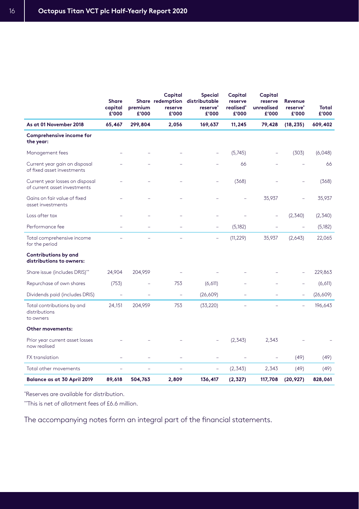|                                                                 | Share<br>capital<br>£'000 | premium<br>£'000 | Capital<br>reserve<br>£'000 | Special<br>Share redemption distributable<br>reserve <sup>*</sup><br>£'000 | Capital<br>reserve<br>realised*<br>£'000 | Capital<br>reserve<br>unrealised<br>£'000 | Revenue<br>reserve <sup>*</sup><br>£'000 | Total<br>£'000 |
|-----------------------------------------------------------------|---------------------------|------------------|-----------------------------|----------------------------------------------------------------------------|------------------------------------------|-------------------------------------------|------------------------------------------|----------------|
| As at 01 November 2018                                          | 65,467                    | 299,804          | 2,056                       | 169,637                                                                    | 11,245                                   | 79,428                                    | (18, 235)                                | 609,402        |
| Comprehensive income for<br>the year:                           |                           |                  |                             |                                                                            |                                          |                                           |                                          |                |
| Management fees                                                 |                           |                  |                             |                                                                            | (5,745)                                  |                                           | (303)                                    | (6,048)        |
| Current year gain on disposal<br>of fixed asset investments     |                           |                  |                             |                                                                            | 66                                       |                                           |                                          | 66             |
| Current year losses on disposal<br>of current asset investments |                           |                  |                             |                                                                            | (368)                                    |                                           |                                          | (368)          |
| Gains on fair value of fixed<br>asset investments               |                           |                  |                             |                                                                            |                                          | 35,937                                    |                                          | 35,937         |
| Loss after tax                                                  |                           |                  |                             |                                                                            |                                          |                                           | (2,340)                                  | (2, 340)       |
| Performance fee                                                 | ÷.                        | i.               | ÷,                          | $\overline{\phantom{0}}$                                                   | (5, 182)                                 |                                           | ۰                                        | (5, 182)       |
| Total comprehensive income<br>for the period                    |                           |                  |                             | ÷                                                                          | (11, 229)                                | 35,937                                    | (2,643)                                  | 22,065         |
| Contributions by and<br>distributions to owners:                |                           |                  |                             |                                                                            |                                          |                                           |                                          |                |
| Share issue (includes DRIS)**                                   | 24,904                    | 204,959          |                             |                                                                            |                                          |                                           |                                          | 229,863        |
| Repurchase of own shares                                        | (753)                     |                  | 753                         | (6,611)                                                                    |                                          |                                           |                                          | (6,611)        |
| Dividends paid (includes DRIS)                                  |                           |                  | L                           | (26,609)                                                                   |                                          |                                           |                                          | (26,609)       |
| Total contributions by and<br>distributions<br>to owners        | 24,151                    | 204,959          | 753                         | (33, 220)                                                                  |                                          |                                           |                                          | 196,643        |
| Other movements:                                                |                           |                  |                             |                                                                            |                                          |                                           |                                          |                |
| Prior year current asset losses<br>now realised                 |                           |                  |                             |                                                                            | (2,343)                                  | 2,343                                     |                                          |                |
| <b>FX</b> translation                                           |                           |                  |                             |                                                                            |                                          |                                           | (49)                                     | (49)           |
| Total other movements                                           |                           |                  |                             |                                                                            | (2, 343)                                 | 2,343                                     | (49)                                     | (49)           |
| Balance as at 30 April 2019                                     | 89,618                    | 504,763          | 2,809                       | 136,417                                                                    | (2, 327)                                 | 117,708                                   | (20, 927)                                | 828,061        |

\* Reserves are available for distribution.

\*\*This is net of allotment fees of £6.6 million.

The accompanying notes form an integral part of the financial statements.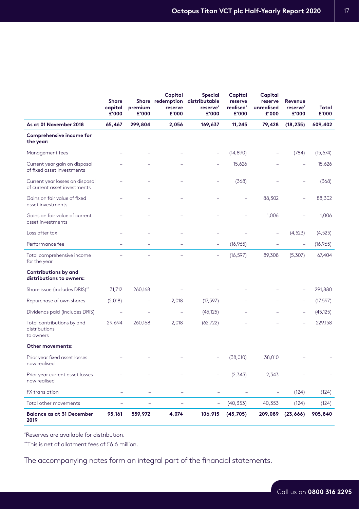|                                                                 | <b>Share</b><br>capital<br>£'000 | premium<br>£'000 | Capital<br>reserve<br>£'000 | Special<br>Share redemption distributable<br>reserve*<br>£'000 | Capital<br>reserve<br>realised*<br>£'000 | Capital<br>reserve<br>unrealised<br>£'000 | <b>Revenue</b><br>reserve <sup>*</sup><br>£'000 | Total<br>£'000 |
|-----------------------------------------------------------------|----------------------------------|------------------|-----------------------------|----------------------------------------------------------------|------------------------------------------|-------------------------------------------|-------------------------------------------------|----------------|
| As at 01 November 2018                                          | 65,467                           | 299,804          | 2,056                       | 169,637                                                        | 11,245                                   | 79,428                                    | (18, 235)                                       | 609,402        |
| Comprehensive income for<br>the year:                           |                                  |                  |                             |                                                                |                                          |                                           |                                                 |                |
| Management fees                                                 |                                  |                  |                             |                                                                | (14, 890)                                |                                           | (784)                                           | (15,674)       |
| Current year gain on disposal<br>of fixed asset investments     |                                  |                  |                             |                                                                | 15,626                                   |                                           |                                                 | 15,626         |
| Current year losses on disposal<br>of current asset investments |                                  |                  |                             |                                                                | (368)                                    |                                           |                                                 | (368)          |
| Gains on fair value of fixed<br>asset investments               |                                  |                  |                             |                                                                |                                          | 88,302                                    |                                                 | 88,302         |
| Gains on fair value of current<br>asset investments             |                                  |                  |                             |                                                                |                                          | 1,006                                     |                                                 | 1,006          |
| Loss after tax                                                  |                                  |                  |                             |                                                                |                                          |                                           | (4, 523)                                        | (4, 523)       |
| Performance fee                                                 |                                  |                  |                             | -                                                              | (16,965)                                 |                                           |                                                 | (16,965)       |
| Total comprehensive income<br>for the year                      |                                  |                  |                             | L,                                                             | (16, 597)                                | 89,308                                    | (5, 307)                                        | 67,404         |
| Contributions by and<br>distributions to owners:                |                                  |                  |                             |                                                                |                                          |                                           |                                                 |                |
| Share issue (includes DRIS)**                                   | 31,712                           | 260,168          |                             |                                                                |                                          |                                           |                                                 | 291,880        |
| Repurchase of own shares                                        | (2,018)                          |                  | 2,018                       | (17, 597)                                                      |                                          |                                           |                                                 | (17, 597)      |
| Dividends paid (includes DRIS)                                  |                                  |                  |                             | (45, 125)                                                      |                                          |                                           |                                                 | (45, 125)      |
| Total contributions by and<br>distributions<br>to owners        | 29,694                           | 260,168          | 2,018                       | (62, 722)                                                      |                                          |                                           |                                                 | 229,158        |
| Other movements:                                                |                                  |                  |                             |                                                                |                                          |                                           |                                                 |                |
| Prior year fixed asset losses<br>now realised                   |                                  |                  |                             |                                                                | (38,010)                                 | 38,010                                    |                                                 |                |
| Prior year current asset losses<br>now realised                 |                                  |                  |                             |                                                                | (2, 343)                                 | 2,343                                     |                                                 |                |
| <b>FX</b> translation                                           |                                  |                  |                             |                                                                |                                          |                                           | (124)                                           | (124)          |
| Total other movements                                           | L,                               |                  |                             | ÷                                                              | (40, 353)                                | 40,353                                    | (124)                                           | (124)          |
| <b>Balance as at 31 December</b><br>2019                        | 95,161                           | 559,972          | 4,074                       | 106,915                                                        | (45, 705)                                | 209,089                                   | (23, 666)                                       | 905,840        |

\* Reserves are available for distribution.

\*\*This is net of allotment fees of £6.6 million.

The accompanying notes form an integral part of the financial statements.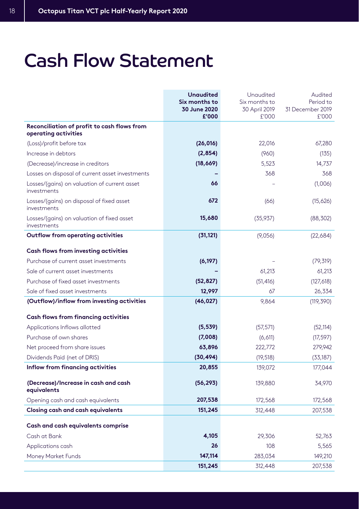# Cash Flow Statement

|                                                                     | <b>Unaudited</b><br>Six months to<br>30 June 2020<br>£'000 | Unaudited<br>Six months to<br>30 April 2019<br>f'000 | Audited<br>Period to<br>31 December 2019<br>f'000 |
|---------------------------------------------------------------------|------------------------------------------------------------|------------------------------------------------------|---------------------------------------------------|
| Reconciliation of profit to cash flows from<br>operating activities |                                                            |                                                      |                                                   |
| (Loss)/profit before tax                                            | (26, 016)                                                  | 22,016                                               | 67,280                                            |
| Increase in debtors                                                 | (2, 854)                                                   | (960)                                                | (135)                                             |
| (Decrease)/increase in creditors                                    | (18,669)                                                   | 5,523                                                | 14,737                                            |
| Losses on disposal of current asset investments                     |                                                            | 368                                                  | 368                                               |
| Losses/(gains) on valuation of current asset<br>investments         | 66                                                         |                                                      | (1,006)                                           |
| Losses/(gains) on disposal of fixed asset<br>investments            | 672                                                        | (66)                                                 | (15,626)                                          |
| Losses/(gains) on valuation of fixed asset<br>investments           | 15,680                                                     | (35,937)                                             | (88, 302)                                         |
| Outflow from operating activities                                   | (31, 121)                                                  | (9,056)                                              | (22,684)                                          |
| Cash flows from investing activities                                |                                                            |                                                      |                                                   |
| Purchase of current asset investments                               | (6, 197)                                                   |                                                      | (79, 319)                                         |
| Sale of current asset investments                                   |                                                            | 61,213                                               | 61,213                                            |
| Purchase of fixed asset investments                                 | (52, 827)                                                  | (51, 416)                                            | (127, 618)                                        |
| Sale of fixed asset investments                                     | 12,997                                                     | 67                                                   | 26,334                                            |
| (Outflow)/inflow from investing activities                          | (46, 027)                                                  | 9,864                                                | (119, 390)                                        |
| Cash flows from financing activities                                |                                                            |                                                      |                                                   |
| Applications Inflows allotted                                       | (5, 539)                                                   | (57, 571)                                            | (52, 114)                                         |
| Purchase of own shares                                              | (7,008)                                                    | (6, 611)                                             | (17, 597)                                         |
| Net proceed from share issues                                       | 63,896                                                     | 222,772                                              | 279,942                                           |
| Dividends Paid (net of DRIS)                                        | (30, 494)                                                  | (19, 518)                                            | (33,187)                                          |
| Inflow from financing activities                                    | 20,855                                                     | 139,072                                              | 177,044                                           |
| (Decrease)/Increase in cash and cash<br>equivalents                 | (56, 293)                                                  | 139,880                                              | 34,970                                            |
| Opening cash and cash equivalents                                   | 207,538                                                    | 172,568                                              | 172,568                                           |
| Closing cash and cash equivalents                                   | 151,245                                                    | 312,448                                              | 207,538                                           |
| Cash and cash equivalents comprise                                  |                                                            |                                                      |                                                   |
| Cash at Bank                                                        | 4,105                                                      | 29,306                                               | 52,763                                            |
| Applications cash                                                   | 26                                                         | 108                                                  | 5,565                                             |
| Money Market Funds                                                  | 147,114                                                    | 283,034                                              | 149,210                                           |
|                                                                     | 151,245                                                    | 312,448                                              | 207,538                                           |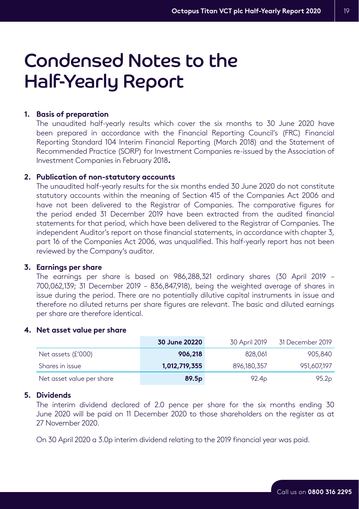# Condensed Notes to the Half-Yearly Report

### **1. Basis of preparation**

The unaudited half-yearly results which cover the six months to 30 June 2020 have been prepared in accordance with the Financial Reporting Council's (FRC) Financial Reporting Standard 104 Interim Financial Reporting (March 2018) and the Statement of Recommended Practice (SORP) for Investment Companies re-issued by the Association of Investment Companies in February 2018**.**

### **2. Publication of non-statutory accounts**

The unaudited half-yearly results for the six months ended 30 June 2020 do not constitute statutory accounts within the meaning of Section 415 of the Companies Act 2006 and have not been delivered to the Registrar of Companies. The comparative figures for the period ended 31 December 2019 have been extracted from the audited financial statements for that period, which have been delivered to the Registrar of Companies. The independent Auditor's report on those financial statements, in accordance with chapter 3, part 16 of the Companies Act 2006, was unqualified. This half-yearly report has not been reviewed by the Company's auditor.

## **3. Earnings per share**

The earnings per share is based on 986,288,321 ordinary shares (30 April 2019 – 700,062,139; 31 December 2019 – 836,847,918), being the weighted average of shares in issue during the period. There are no potentially dilutive capital instruments in issue and therefore no diluted returns per share figures are relevant. The basic and diluted earnings per share are therefore identical.

#### **4. Net asset value per share**

|                           | 30 June 20220     | 30 April 2019     | 31 December 2019  |
|---------------------------|-------------------|-------------------|-------------------|
| Net assets (£'000)        | 906,218           | 828,061           | 905,840           |
| Shares in issue           | 1,012,719,355     | 896.180.357       | 951.607.197       |
| Net asset value per share | 89.5 <sub>p</sub> | 92.4 <sub>D</sub> | 95.2 <sub>p</sub> |

# **5. Dividends**

The interim dividend declared of 2.0 pence per share for the six months ending 30 June 2020 will be paid on 11 December 2020 to those shareholders on the register as at 27 November 2020.

On 30 April 2020 a 3.0p interim dividend relating to the 2019 financial year was paid.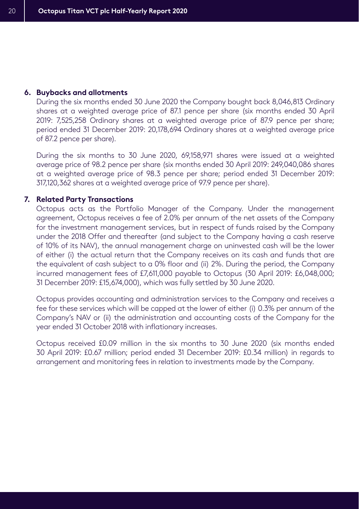### **6. Buybacks and allotments**

During the six months ended 30 June 2020 the Company bought back 8,046,813 Ordinary shares at a weighted average price of 87.1 pence per share (six months ended 30 April 2019: 7,525,258 Ordinary shares at a weighted average price of 87.9 pence per share; period ended 31 December 2019: 20,178,694 Ordinary shares at a weighted average price of 87.2 pence per share).

During the six months to 30 June 2020, 69,158,971 shares were issued at a weighted average price of 98.2 pence per share (six months ended 30 April 2019: 249,040,086 shares at a weighted average price of 98.3 pence per share; period ended 31 December 2019: 317,120,362 shares at a weighted average price of 97.9 pence per share).

### **7. Related Party Transactions**

Octopus acts as the Portfolio Manager of the Company. Under the management agreement, Octopus receives a fee of 2.0% per annum of the net assets of the Company for the investment management services, but in respect of funds raised by the Company under the 2018 Offer and thereafter (and subject to the Company having a cash reserve of 10% of its NAV), the annual management charge on uninvested cash will be the lower of either (i) the actual return that the Company receives on its cash and funds that are the equivalent of cash subject to a 0% floor and (ii) 2%. During the period, the Company incurred management fees of £7,611,000 payable to Octopus (30 April 2019: £6,048,000; 31 December 2019: £15,674,000), which was fully settled by 30 June 2020.

Octopus provides accounting and administration services to the Company and receives a fee for these services which will be capped at the lower of either (i) 0.3% per annum of the Company's NAV or (ii) the administration and accounting costs of the Company for the year ended 31 October 2018 with inflationary increases.

Octopus received £0.09 million in the six months to 30 June 2020 (six months ended 30 April 2019: £0.67 million; period ended 31 December 2019: £0.34 million) in regards to arrangement and monitoring fees in relation to investments made by the Company.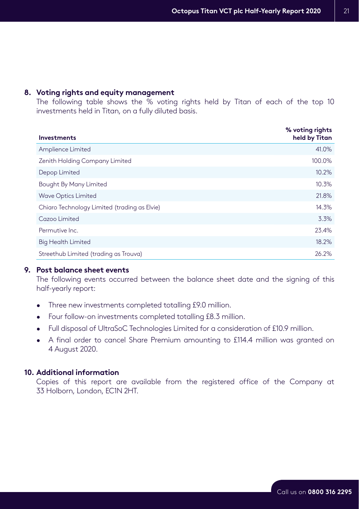#### **8. Voting rights and equity management**

The following table shows the % voting rights held by Titan of each of the top 10 investments held in Titan, on a fully diluted basis.

| <b>Investments</b>                           | % voting rights<br>held by Titan |
|----------------------------------------------|----------------------------------|
| Amplience Limited                            | 41.0%                            |
| Zenith Holding Company Limited               | 100.0%                           |
| Depop Limited                                | 10.2%                            |
| Bought By Many Limited                       | 10.3%                            |
| Wave Optics Limited                          | 21.8%                            |
| Chiaro Technology Limited (trading as Elvie) | 14.3%                            |
| Cazoo Limited                                | 3.3%                             |
| Permutive Inc.                               | 23.4%                            |
| <b>Big Health Limited</b>                    | 18.2%                            |
| Streethub Limited (trading as Trouva)        | 26.2%                            |

## **9. Post balance sheet events**

The following events occurred between the balance sheet date and the signing of this half-yearly report:

- Three new investments completed totalling £9.0 million.
- Four follow-on investments completed totalling £8.3 million.
- Full disposal of UltraSoC Technologies Limited for a consideration of £10.9 million.
- A final order to cancel Share Premium amounting to £114.4 million was granted on 4 August 2020.

# **10. Additional information**

Copies of this report are available from the registered office of the Company at 33 Holborn, London, EC1N 2HT.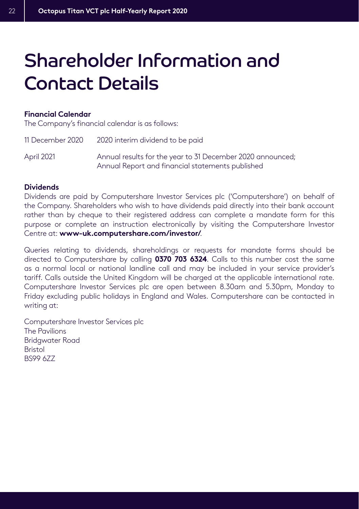# Shareholder Information and Contact Details

### **Financial Calendar**

The Company's financial calendar is as follows:

| 11 December 2020 | 2020 interim dividend to be paid                           |
|------------------|------------------------------------------------------------|
| April 2021       | Annual results for the year to 31 December 2020 announced; |
|                  | Annual Report and financial statements published           |

#### **Dividends**

Dividends are paid by Computershare Investor Services plc ('Computershare') on behalf of the Company. Shareholders who wish to have dividends paid directly into their bank account rather than by cheque to their registered address can complete a mandate form for this purpose or complete an instruction electronically by visiting the Computershare Investor Centre at: **www-uk.computershare.com/investor/**.

Queries relating to dividends, shareholdings or requests for mandate forms should be directed to Computershare by calling **0370 703 6324**. Calls to this number cost the same as a normal local or national landline call and may be included in your service provider's tariff. Calls outside the United Kingdom will be charged at the applicable international rate. Computershare Investor Services plc are open between 8.30am and 5.30pm, Monday to Friday excluding public holidays in England and Wales. Computershare can be contacted in writing at:

Computershare Investor Services plc The Pavilions Bridgwater Road **Bristol** BS99 6ZZ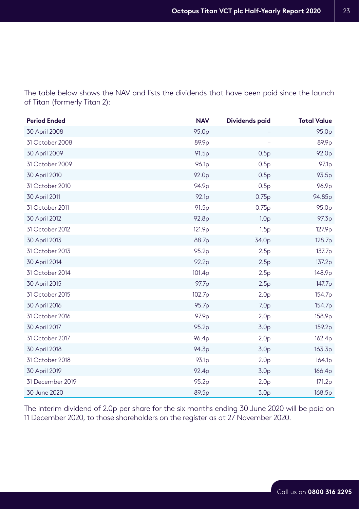The table below shows the NAV and lists the dividends that have been paid since the launch of Titan (formerly Titan 2):

| <b>Period Ended</b> | <b>NAV</b>         | Dividends paid    | <b>Total Value</b> |
|---------------------|--------------------|-------------------|--------------------|
| 30 April 2008       | 95.0 <sub>p</sub>  |                   | 95.0 <sub>p</sub>  |
| 31 October 2008     | 89.9p              |                   | 89.9p              |
| 30 April 2009       | 91.5p              | 0.5p              | 92.0p              |
| 31 October 2009     | 96.1p              | 0.5p              | 97.1p              |
| 30 April 2010       | 92.0 <sub>p</sub>  | 0.5p              | 93.5p              |
| 31 October 2010     | 94.9p              | 0.5p              | 96.9p              |
| 30 April 2011       | 92.1 <sub>p</sub>  | 0.75p             | 94.85p             |
| 31 October 2011     | 91.5p              | 0.75p             | 95.0p              |
| 30 April 2012       | 92.8p              | 1.0 <sub>p</sub>  | 97.3p              |
| 31 October 2012     | 121.9 <sub>p</sub> | 1.5 <sub>p</sub>  | 127.9p             |
| 30 April 2013       | 88.7p              | 34.0 <sub>p</sub> | 128.7p             |
| 31 October 2013     | 95.2p              | 2.5p              | 137.7 <sub>p</sub> |
| 30 April 2014       | 92.2p              | 2.5p              | 137.2p             |
| 31 October 2014     | 101.4 <sub>p</sub> | 2.5p              | 148.9p             |
| 30 April 2015       | 97.7 <sub>p</sub>  | 2.5p              | 147.7p             |
| 31 October 2015     | 102.7p             | 2.0 <sub>p</sub>  | 154.7p             |
| 30 April 2016       | 95.7p              | 7.0 <sub>p</sub>  | 154.7p             |
| 31 October 2016     | 97.9p              | 2.0 <sub>p</sub>  | 158.9p             |
| 30 April 2017       | 95.2p              | 3.0 <sub>p</sub>  | 159.2p             |
| 31 October 2017     | 96.4p              | 2.0 <sub>p</sub>  | 162.4p             |
| 30 April 2018       | 94.3 <sub>p</sub>  | 3.0 <sub>p</sub>  | 163.3p             |
| 31 October 2018     | 93.1p              | 2.0 <sub>p</sub>  | 164.1p             |
| 30 April 2019       | 92.4p              | 3.0 <sub>p</sub>  | 166.4p             |
| 31 December 2019    | 95.2p              | 2.0 <sub>p</sub>  | 171.2p             |
| 30 June 2020        | 89.5p              | 3.0 <sub>p</sub>  | 168.5p             |

The interim dividend of 2.0p per share for the six months ending 30 June 2020 will be paid on 11 December 2020, to those shareholders on the register as at 27 November 2020.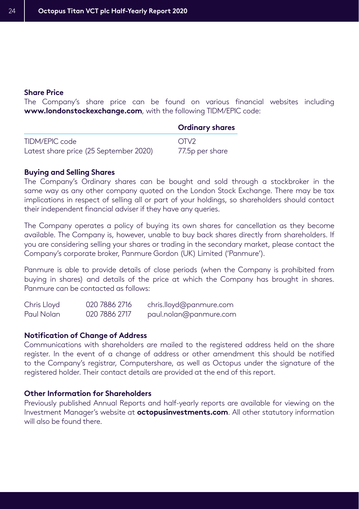## **Share Price**

The Company's share price can be found on various financial websites including **www.londonstockexchange.com**, with the following TIDM/EPIC code:

|                                        | <b>Ordinary shares</b> |
|----------------------------------------|------------------------|
| TIDM/EPIC code                         | OTV <sub>2</sub>       |
| Latest share price (25 September 2020) | 77.5p per share        |

### **Buying and Selling Shares**

The Company's Ordinary shares can be bought and sold through a stockbroker in the same way as any other company quoted on the London Stock Exchange. There may be tax implications in respect of selling all or part of your holdings, so shareholders should contact their independent financial adviser if they have any queries.

The Company operates a policy of buying its own shares for cancellation as they become available. The Company is, however, unable to buy back shares directly from shareholders. If you are considering selling your shares or trading in the secondary market, please contact the Company's corporate broker, Panmure Gordon (UK) Limited ('Panmure').

Panmure is able to provide details of close periods (when the Company is prohibited from buying in shares) and details of the price at which the Company has brought in shares. Panmure can be contacted as follows:

| Chris Lloyd | 020 7886 2716 | chris.lloyd@panmure.com |
|-------------|---------------|-------------------------|
| Paul Nolan  | 020 7886 2717 | paul.nolan@panmure.com  |

### **Notification of Change of Address**

Communications with shareholders are mailed to the registered address held on the share register. In the event of a change of address or other amendment this should be notified to the Company's registrar, Computershare, as well as Octopus under the signature of the registered holder. Their contact details are provided at the end of this report.

# **Other Information for Shareholders**

Previously published Annual Reports and half-yearly reports are available for viewing on the Investment Manager's website at **octopusinvestments.com**. All other statutory information will also be found there.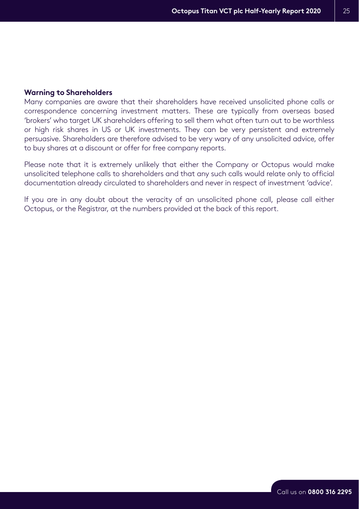### **Warning to Shareholders**

Many companies are aware that their shareholders have received unsolicited phone calls or correspondence concerning investment matters. These are typically from overseas based 'brokers' who target UK shareholders offering to sell them what often turn out to be worthless or high risk shares in US or UK investments. They can be very persistent and extremely persuasive. Shareholders are therefore advised to be very wary of any unsolicited advice, offer to buy shares at a discount or offer for free company reports.

Please note that it is extremely unlikely that either the Company or Octopus would make unsolicited telephone calls to shareholders and that any such calls would relate only to official documentation already circulated to shareholders and never in respect of investment 'advice'.

If you are in any doubt about the veracity of an unsolicited phone call, please call either Octopus, or the Registrar, at the numbers provided at the back of this report.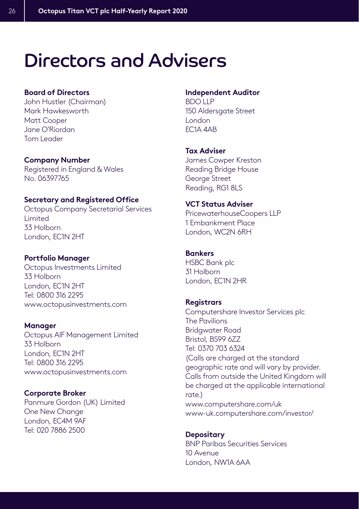# Directors and Advisers

# **Board of Directors**

John Hustler (Chairman) Mark Hawkesworth Matt Cooper Jane O'Riordan Tom Leader

#### **Company Number**

Registered in England & Wales No. 06397765

# **Secretary and Registered Office**

Octopus Company Secretarial Services Limited 33 Holborn London, EC1N 2HT

#### **Portfolio Manager**

Octopus Investments Limited 33 Holborn London, EC1N 2HT Tel: 0800 316 2295 www.octopusinvestments.com

#### **Manager**

Octopus AIF Management Limited 33 Holborn London, EC1N 2HT Tel: 0800 316 2295 www.octopusinvestments.com

### **Corporate Broker**

Panmure Gordon (UK) Limited One New Change London, EC4M 9AF Tel: 020 7886 2500

### **Independent Auditor**

BDO LLP 150 Aldersgate Street London EC1A 4AB

### **Tax Adviser**

James Cowper Kreston Reading Bridge House George Street Reading, RG1 8LS

#### **VCT Status Adviser**

PricewaterhouseCoopers LLP 1 Embankment Place London, WC2N 6RH

# **Bankers**

HSBC Bank plc 31 Holborn London, EC1N 2HR

#### **Registrars**

Computershare Investor Services plc The Pavilions Bridgwater Road Bristol, BS99 6ZZ Tel: 0370 703 6324 (Calls are charged at the standard geographic rate and will vary by provider. Calls from outside the United Kingdom will be charged at the applicable international rate.) www.computershare.com/uk www-uk.computershare.com/investor/

#### **Depositary**

BNP Paribas Securities Services 10 Avenue London, NW1A 6AA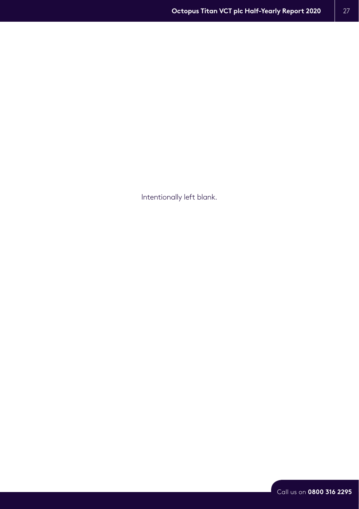Intentionally left blank.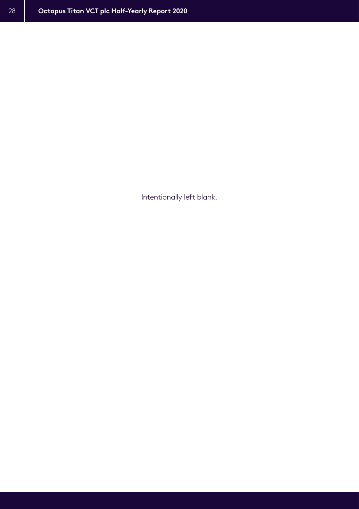Intentionally left blank.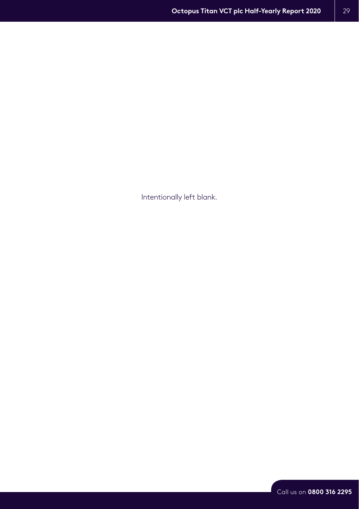Intentionally left blank.